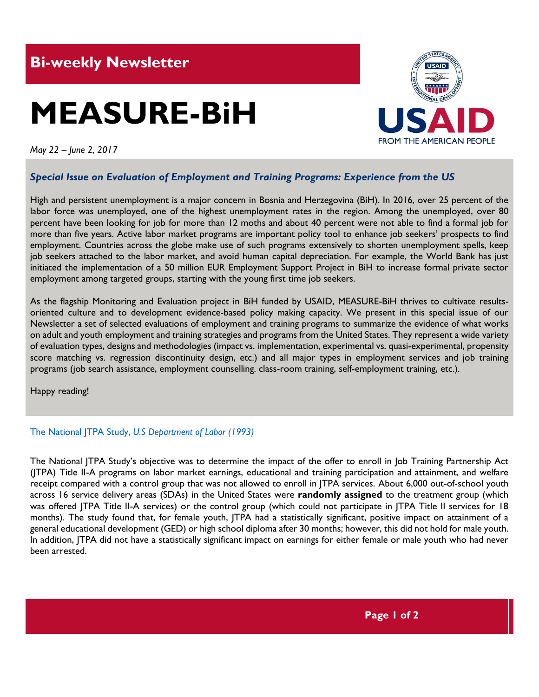# **MEASURE-BiH**



*May 22 – June 2, 2017*

# *Special Issue on Evaluation of Employment and Training Programs: Experience from the US*

High and persistent unemployment is a major concern in Bosnia and Herzegovina (BiH). In 2016, over 25 percent of the labor force was unemployed, one of the highest unemployment rates in the region. Among the unemployed, over 80 percent have been looking for job for more than 12 moths and about 40 percent were not able to find a formal job for more than five years. Active labor market programs are important policy tool to enhance job seekers' prospects to find employment. Countries across the globe make use of such programs extensively to shorten unemployment spells, keep job seekers attached to the labor market, and avoid human capital depreciation. For example, the World Bank has just initiated the implementation of a 50 million EUR Employment Support Project in BiH to increase formal private sector employment among targeted groups, starting with the young first time job seekers.

As the flagship Monitoring and Evaluation project in BiH funded by USAID, MEASURE-BiH thrives to cultivate resultsoriented culture and to development evidence-based policy making capacity. We present in this special issue of our Newsletter a set of selected evaluations of employment and training programs to summarize the evidence of what works on adult and youth employment and training strategies and programs from the United States. They represent a wide variety of evaluation types, designs and methodologies (impact vs. implementation, experimental vs. quasi-experimental, propensity score matching vs. regression discontinuity design, etc.) and all major types in employment services and job training programs (job search assistance, employment counselling. class-room training, self-employment training, etc.).

Happy reading!

#### [The National JTPA Study,](https://wdr.doleta.gov/opr/fulltext/document.cfm?docn=6139) *U.S Department of Labor (1993)*

The National JTPA Study's objective was to determine the impact of the offer to enroll in Job Training Partnership Act (JTPA) Title II-A programs on labor market earnings, educational and training participation and attainment, and welfare receipt compared with a control group that was not allowed to enroll in JTPA services. About 6,000 out-of-school youth across 16 service delivery areas (SDAs) in the United States were **randomly assigned** to the treatment group (which was offered JTPA Title II-A services) or the control group (which could not participate in JTPA Title II services for 18 months). The study found that, for female youth, JTPA had a statistically significant, positive impact on attainment of a general educational development (GED) or high school diploma after 30 months; however, this did not hold for male youth. In addition, JTPA did not have a statistically significant impact on earnings for either female or male youth who had never been arrested.